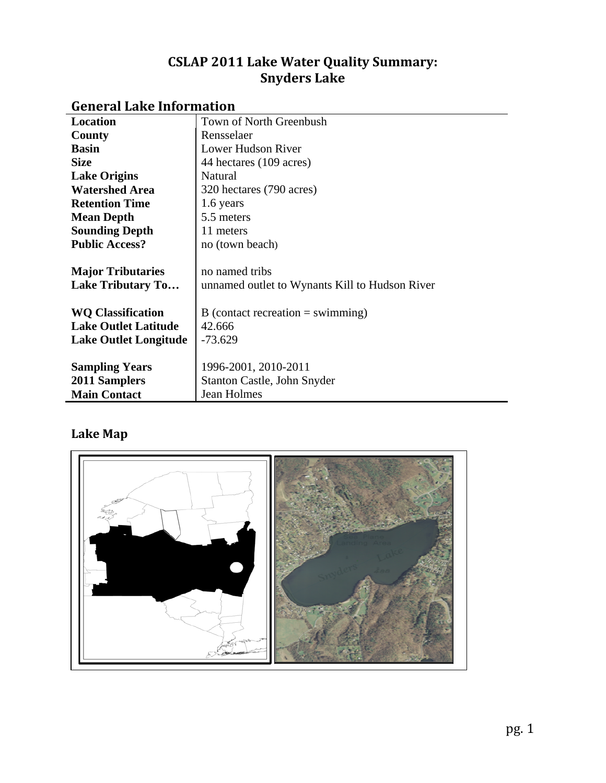## **CSLAP 2011 Lake Water Quality Summary: Snyders Lake**

| енстанданстинопимен          |                                                |
|------------------------------|------------------------------------------------|
| Location                     | Town of North Greenbush                        |
| County                       | Rensselaer                                     |
| <b>Basin</b>                 | Lower Hudson River                             |
| <b>Size</b>                  | 44 hectares (109 acres)                        |
| <b>Lake Origins</b>          | Natural                                        |
| <b>Watershed Area</b>        | 320 hectares (790 acres)                       |
| <b>Retention Time</b>        | 1.6 years                                      |
| <b>Mean Depth</b>            | 5.5 meters                                     |
| <b>Sounding Depth</b>        | 11 meters                                      |
| <b>Public Access?</b>        | no (town beach)                                |
|                              |                                                |
| <b>Major Tributaries</b>     | no named tribs                                 |
| <b>Lake Tributary To</b>     | unnamed outlet to Wynants Kill to Hudson River |
|                              |                                                |
| <b>WQ Classification</b>     | B (contact recreation $=$ swimming)            |
| <b>Lake Outlet Latitude</b>  | 42.666                                         |
| <b>Lake Outlet Longitude</b> | $-73.629$                                      |
|                              |                                                |
| <b>Sampling Years</b>        | 1996-2001, 2010-2011                           |
| 2011 Samplers                | Stanton Castle, John Snyder                    |
| <b>Main Contact</b>          | <b>Jean Holmes</b>                             |

## **General Lake Information**

# **Lake Map**

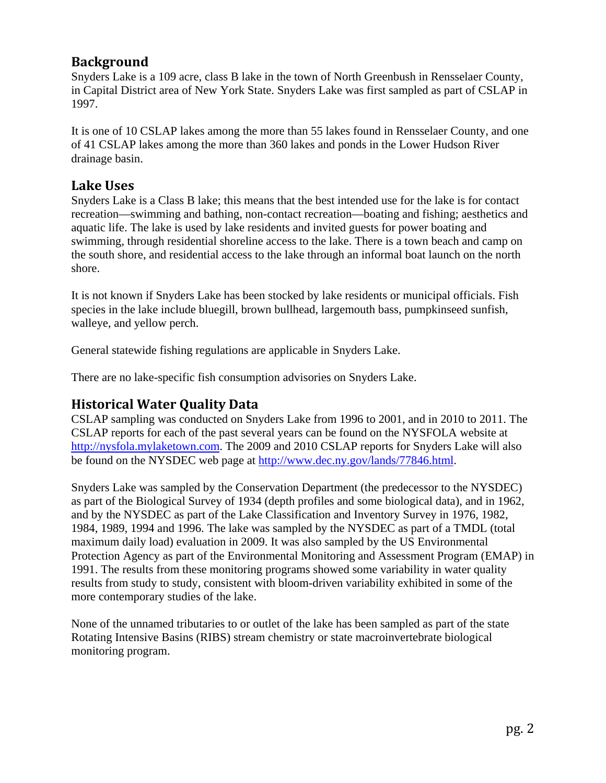#### **Background**

Snyders Lake is a 109 acre, class B lake in the town of North Greenbush in Rensselaer County, in Capital District area of New York State. Snyders Lake was first sampled as part of CSLAP in 1997.

It is one of 10 CSLAP lakes among the more than 55 lakes found in Rensselaer County, and one of 41 CSLAP lakes among the more than 360 lakes and ponds in the Lower Hudson River drainage basin.

#### **Lake Uses**

Snyders Lake is a Class B lake; this means that the best intended use for the lake is for contact recreation—swimming and bathing, non-contact recreation—boating and fishing; aesthetics and aquatic life. The lake is used by lake residents and invited guests for power boating and swimming, through residential shoreline access to the lake. There is a town beach and camp on the south shore, and residential access to the lake through an informal boat launch on the north shore.

It is not known if Snyders Lake has been stocked by lake residents or municipal officials. Fish species in the lake include bluegill, brown bullhead, largemouth bass, pumpkinseed sunfish, walleye, and yellow perch.

General statewide fishing regulations are applicable in Snyders Lake.

There are no lake-specific fish consumption advisories on Snyders Lake.

#### **Historical Water Quality Data**

CSLAP sampling was conducted on Snyders Lake from 1996 to 2001, and in 2010 to 2011. The CSLAP reports for each of the past several years can be found on the NYSFOLA website at [http://nysfola.mylaketown.com.](http://nysfola.mylaketown.com/) The 2009 and 2010 CSLAP reports for Snyders Lake will also be found on the NYSDEC web page at [http://www.dec.ny.gov/lands/77846.html.](http://www.dec.ny.gov/lands/77846.html)

Snyders Lake was sampled by the Conservation Department (the predecessor to the NYSDEC) as part of the Biological Survey of 1934 (depth profiles and some biological data), and in 1962, and by the NYSDEC as part of the Lake Classification and Inventory Survey in 1976, 1982, 1984, 1989, 1994 and 1996. The lake was sampled by the NYSDEC as part of a TMDL (total maximum daily load) evaluation in 2009. It was also sampled by the US Environmental Protection Agency as part of the Environmental Monitoring and Assessment Program (EMAP) in 1991. The results from these monitoring programs showed some variability in water quality results from study to study, consistent with bloom-driven variability exhibited in some of the more contemporary studies of the lake.

None of the unnamed tributaries to or outlet of the lake has been sampled as part of the state Rotating Intensive Basins (RIBS) stream chemistry or state macroinvertebrate biological monitoring program.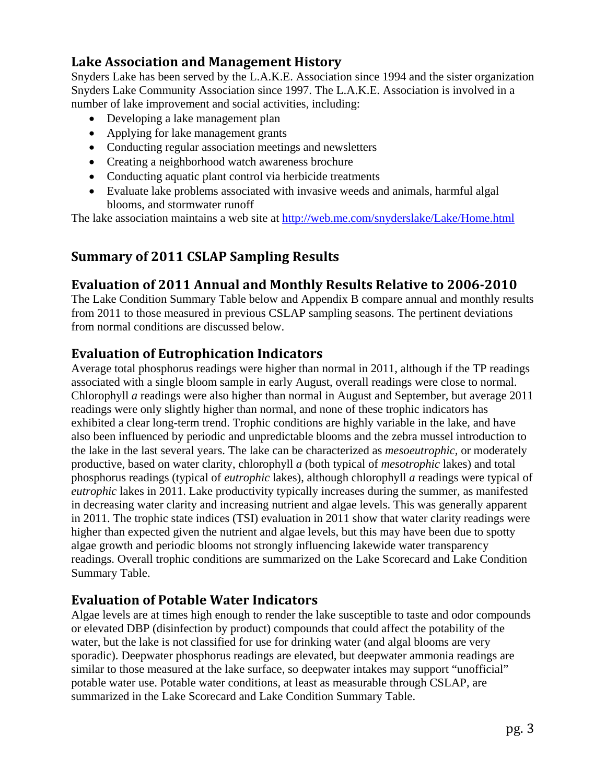## **Lake Association and Management History**

Snyders Lake has been served by the L.A.K.E. Association since 1994 and the sister organization Snyders Lake Community Association since 1997. The L.A.K.E. Association is involved in a number of lake improvement and social activities, including:

- Developing a lake management plan
- Applying for lake management grants
- Conducting regular association meetings and newsletters
- Creating a neighborhood watch awareness brochure
- Conducting aquatic plant control via herbicide treatments
- Evaluate lake problems associated with invasive weeds and animals, harmful algal blooms, and stormwater runoff

The lake association maintains a web site at<http://web.me.com/snyderslake/Lake/Home.html>

## **Summary of 2011 CSLAP Sampling Results**

#### **Evaluation of 2011 Annual and Monthly Results Relative to 20062010**

The Lake Condition Summary Table below and Appendix B compare annual and monthly results from 2011 to those measured in previous CSLAP sampling seasons. The pertinent deviations from normal conditions are discussed below.

#### **Evaluation of Eutrophication Indicators**

Average total phosphorus readings were higher than normal in 2011, although if the TP readings associated with a single bloom sample in early August, overall readings were close to normal. Chlorophyll *a* readings were also higher than normal in August and September, but average 2011 readings were only slightly higher than normal, and none of these trophic indicators has exhibited a clear long-term trend. Trophic conditions are highly variable in the lake, and have also been influenced by periodic and unpredictable blooms and the zebra mussel introduction to the lake in the last several years. The lake can be characterized as *mesoeutrophic,* or moderately productive, based on water clarity, chlorophyll *a* (both typical of *mesotrophic* lakes) and total phosphorus readings (typical of *eutrophic* lakes), although chlorophyll *a* readings were typical of *eutrophic* lakes in 2011. Lake productivity typically increases during the summer, as manifested in decreasing water clarity and increasing nutrient and algae levels. This was generally apparent in 2011. The trophic state indices (TSI) evaluation in 2011 show that water clarity readings were higher than expected given the nutrient and algae levels, but this may have been due to spotty algae growth and periodic blooms not strongly influencing lakewide water transparency readings. Overall trophic conditions are summarized on the Lake Scorecard and Lake Condition Summary Table.

## **Evaluation of Potable Water Indicators**

Algae levels are at times high enough to render the lake susceptible to taste and odor compounds or elevated DBP (disinfection by product) compounds that could affect the potability of the water, but the lake is not classified for use for drinking water (and algal blooms are very sporadic). Deepwater phosphorus readings are elevated, but deepwater ammonia readings are similar to those measured at the lake surface, so deepwater intakes may support "unofficial" potable water use. Potable water conditions, at least as measurable through CSLAP, are summarized in the Lake Scorecard and Lake Condition Summary Table.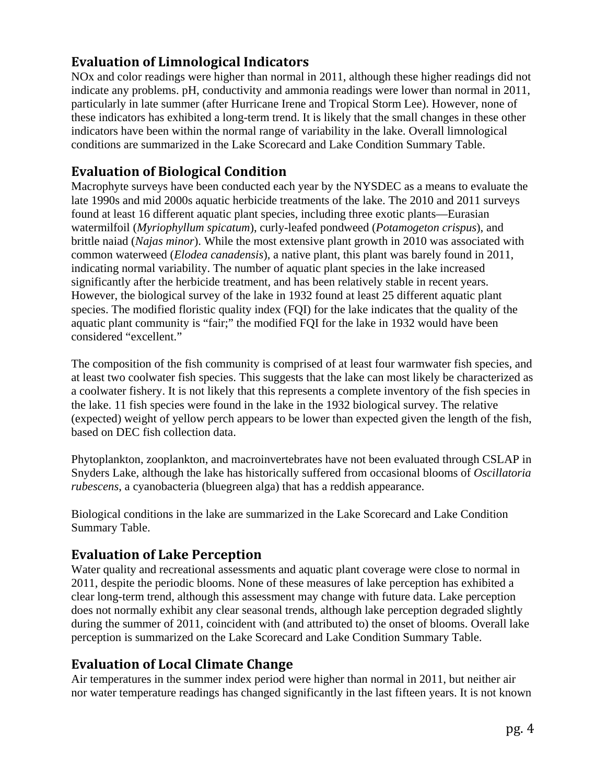## **Evaluation of Limnological Indicators**

NOx and color readings were higher than normal in 2011, although these higher readings did not indicate any problems. pH, conductivity and ammonia readings were lower than normal in 2011, particularly in late summer (after Hurricane Irene and Tropical Storm Lee). However, none of these indicators has exhibited a long-term trend. It is likely that the small changes in these other indicators have been within the normal range of variability in the lake. Overall limnological conditions are summarized in the Lake Scorecard and Lake Condition Summary Table.

## **Evaluation of Biological Condition**

Macrophyte surveys have been conducted each year by the NYSDEC as a means to evaluate the late 1990s and mid 2000s aquatic herbicide treatments of the lake. The 2010 and 2011 surveys found at least 16 different aquatic plant species, including three exotic plants—Eurasian watermilfoil (*Myriophyllum spicatum*), curly-leafed pondweed (*Potamogeton crispus*), and brittle naiad (*Najas minor*). While the most extensive plant growth in 2010 was associated with common waterweed (*Elodea canadensis*), a native plant, this plant was barely found in 2011, indicating normal variability. The number of aquatic plant species in the lake increased significantly after the herbicide treatment, and has been relatively stable in recent years. However, the biological survey of the lake in 1932 found at least 25 different aquatic plant species. The modified floristic quality index (FQI) for the lake indicates that the quality of the aquatic plant community is "fair;" the modified FQI for the lake in 1932 would have been considered "excellent."

The composition of the fish community is comprised of at least four warmwater fish species, and at least two coolwater fish species. This suggests that the lake can most likely be characterized as a coolwater fishery. It is not likely that this represents a complete inventory of the fish species in the lake. 11 fish species were found in the lake in the 1932 biological survey. The relative (expected) weight of yellow perch appears to be lower than expected given the length of the fish, based on DEC fish collection data.

Phytoplankton, zooplankton, and macroinvertebrates have not been evaluated through CSLAP in Snyders Lake, although the lake has historically suffered from occasional blooms of *Oscillatoria rubescens*, a cyanobacteria (bluegreen alga) that has a reddish appearance.

Biological conditions in the lake are summarized in the Lake Scorecard and Lake Condition Summary Table.

#### **Evaluation of Lake Perception**

Water quality and recreational assessments and aquatic plant coverage were close to normal in 2011, despite the periodic blooms. None of these measures of lake perception has exhibited a clear long-term trend, although this assessment may change with future data. Lake perception does not normally exhibit any clear seasonal trends, although lake perception degraded slightly during the summer of 2011, coincident with (and attributed to) the onset of blooms. Overall lake perception is summarized on the Lake Scorecard and Lake Condition Summary Table.

## **Evaluation of Local Climate Change**

Air temperatures in the summer index period were higher than normal in 2011, but neither air nor water temperature readings has changed significantly in the last fifteen years. It is not known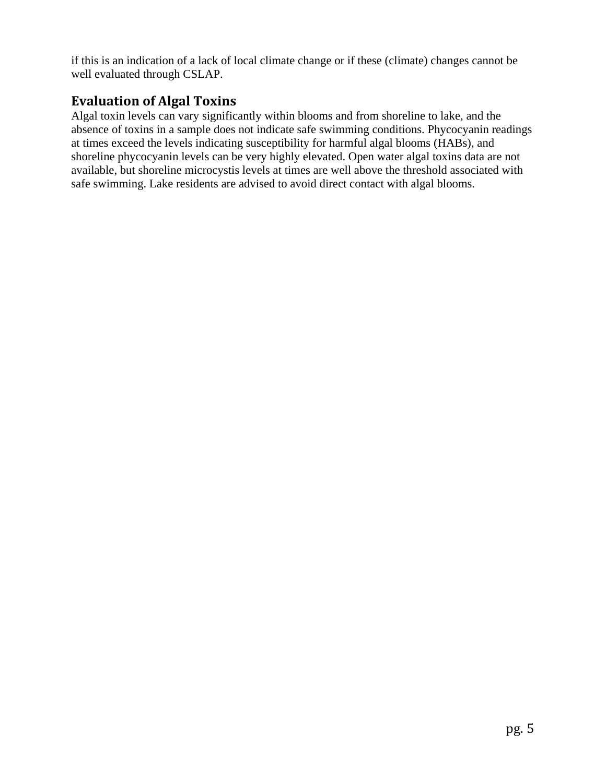if this is an indication of a lack of local climate change or if these (climate) changes cannot be well evaluated through CSLAP.

#### **Evaluation of Algal Toxins**

Algal toxin levels can vary significantly within blooms and from shoreline to lake, and the absence of toxins in a sample does not indicate safe swimming conditions. Phycocyanin readings at times exceed the levels indicating susceptibility for harmful algal blooms (HABs), and shoreline phycocyanin levels can be very highly elevated. Open water algal toxins data are not available, but shoreline microcystis levels at times are well above the threshold associated with safe swimming. Lake residents are advised to avoid direct contact with algal blooms.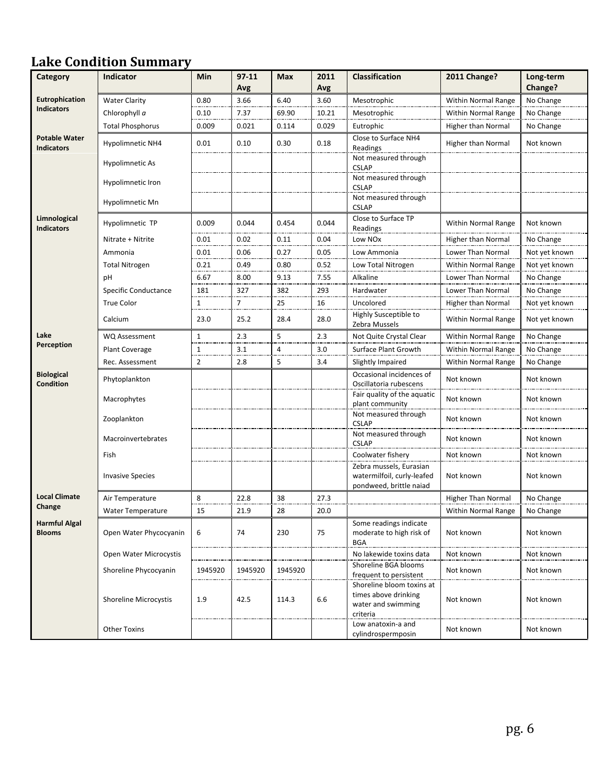# **Lake Condition Summary**

| Category                                  | <b>Indicator</b>             | Min          | $97 - 11$ | <b>Max</b> | 2011  | <b>Classification</b>                                                               | <b>2011 Change?</b>        | Long-term     |
|-------------------------------------------|------------------------------|--------------|-----------|------------|-------|-------------------------------------------------------------------------------------|----------------------------|---------------|
|                                           |                              |              | Avg       |            | Avg   |                                                                                     |                            | Change?       |
| Eutrophication<br><b>Indicators</b>       | <b>Water Clarity</b>         | 0.80         | 3.66      | 6.40       | 3.60  | Mesotrophic                                                                         | Within Normal Range        | No Change     |
|                                           | Chlorophyll a                | 0.10         | 7.37      | 69.90      | 10.21 | Mesotrophic                                                                         | Within Normal Range        | No Change     |
|                                           | <b>Total Phosphorus</b>      | 0.009        | 0.021     | 0.114      | 0.029 | Eutrophic                                                                           | Higher than Normal         | No Change     |
| <b>Potable Water</b><br><b>Indicators</b> | <b>Hypolimnetic NH4</b>      | 0.01         | 0.10      | 0.30       | 0.18  | Close to Surface NH4<br>Readings                                                    | Higher than Normal         | Not known     |
|                                           | Hypolimnetic As              |              |           |            |       | Not measured through<br><b>CSLAP</b>                                                |                            |               |
|                                           | Hypolimnetic Iron            |              |           |            |       | Not measured through<br><b>CSLAP</b>                                                |                            |               |
|                                           | Hypolimnetic Mn              |              |           |            |       | Not measured through<br><b>CSLAP</b>                                                |                            |               |
| Limnological<br><b>Indicators</b>         | Hypolimnetic TP              | 0.009        | 0.044     | 0.454      | 0.044 | Close to Surface TP<br>Readings                                                     | <b>Within Normal Range</b> | Not known     |
|                                           | Nitrate + Nitrite            | 0.01         | 0.02      | 0.11       | 0.04  | Low NO <sub>x</sub>                                                                 | <b>Higher than Normal</b>  | No Change     |
|                                           | Ammonia                      | 0.01         | 0.06      | 0.27       | 0.05  | Low Ammonia                                                                         | Lower Than Normal          | Not yet known |
|                                           | <b>Total Nitrogen</b>        | 0.21         | 0.49      | 0.80       | 0.52  | Low Total Nitrogen                                                                  | <b>Within Normal Range</b> | Not yet known |
|                                           | pH                           | 6.67         | 8.00      | 9.13       | 7.55  | Alkaline                                                                            | Lower Than Normal          | No Change     |
|                                           | Specific Conductance         | 181          | 327       | 382        | 293   | Hardwater                                                                           | Lower Than Normal          | No Change     |
|                                           | <b>True Color</b>            | 1            | 7         | 25         | 16    | Uncolored                                                                           | Higher than Normal         | Not yet known |
|                                           | Calcium                      | 23.0         | 25.2      | 28.4       | 28.0  | Highly Susceptible to<br>Zebra Mussels                                              | <b>Within Normal Range</b> | Not yet known |
| Lake                                      | WQ Assessment                | $\mathbf{1}$ | 2.3       | 5          | 2.3   | Not Quite Crystal Clear                                                             | <b>Within Normal Range</b> | No Change     |
| Perception                                | Plant Coverage               | 1            | 3.1       | 4          | 3.0   | Surface Plant Growth                                                                | Within Normal Range        | No Change     |
|                                           | Rec. Assessment              | 2            | 2.8       | 5          | 3.4   | Slightly Impaired                                                                   | <b>Within Normal Range</b> | No Change     |
| <b>Biological</b><br><b>Condition</b>     | Phytoplankton                |              |           |            |       | Occasional incidences of<br>Oscillatoria rubescens                                  | Not known                  | Not known     |
|                                           | Macrophytes                  |              |           |            |       | Fair quality of the aquatic<br>plant community                                      | Not known                  | Not known     |
|                                           | Zooplankton                  |              |           |            |       | Not measured through<br><b>CSLAP</b>                                                | Not known                  | Not known     |
|                                           | Macroinvertebrates           |              |           |            |       | Not measured through<br><b>CSLAP</b>                                                | Not known                  | Not known     |
|                                           | Fish                         |              |           |            |       | Coolwater fishery                                                                   | Not known                  | Not known     |
|                                           | <b>Invasive Species</b>      |              |           |            |       | Zebra mussels, Eurasian<br>watermilfoil, curly-leafed<br>pondweed, brittle naiad    | Not known                  | Not known     |
| <b>Local Climate</b>                      | Air Temperature              | 8            | 22.8      | 38         | 27.3  |                                                                                     | <b>Higher Than Normal</b>  | No Change     |
| Change                                    | Water Temperature            | 15           | 21.9      | 28         | 20.0  |                                                                                     | Within Normal Range        | No Change     |
| <b>Harmful Algal</b><br><b>Blooms</b>     | Open Water Phycocyanin       | 6            | 74        | 230        | 75    | Some readings indicate<br>moderate to high risk of<br><b>BGA</b>                    | Not known                  | Not known     |
|                                           | Open Water Microcystis       |              |           |            |       | No lakewide toxins data                                                             | Not known                  | Not known     |
|                                           | Shoreline Phycocyanin        | 1945920      | 1945920   | 1945920    |       | Shoreline BGA blooms<br>frequent to persistent                                      | Not known                  | Not known     |
|                                           | <b>Shoreline Microcystis</b> | 1.9          | 42.5      | 114.3      | 6.6   | Shoreline bloom toxins at<br>times above drinking<br>water and swimming<br>criteria | Not known                  | Not known     |
|                                           | <b>Other Toxins</b>          |              |           |            |       | Low anatoxin-a and<br>cylindrospermposin                                            | Not known                  | Not known     |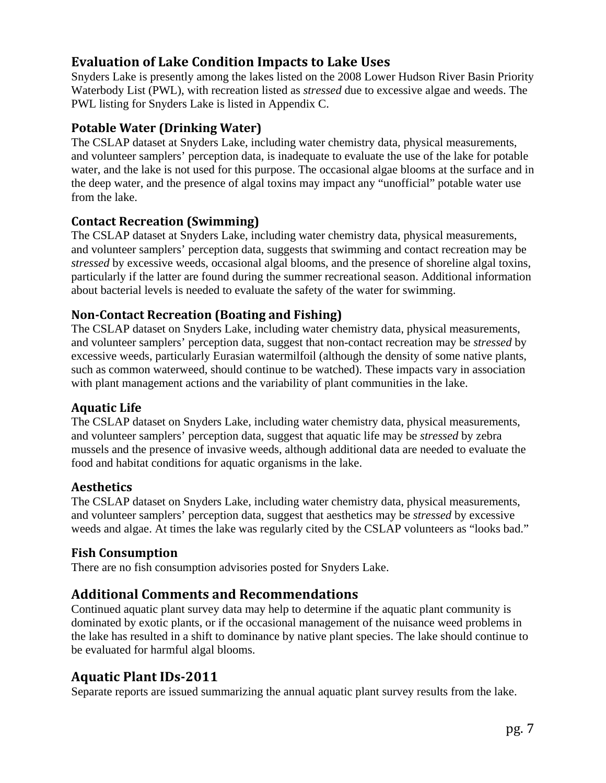#### **Evaluation of Lake Condition Impacts to Lake Uses**

Snyders Lake is presently among the lakes listed on the 2008 Lower Hudson River Basin Priority Waterbody List (PWL), with recreation listed as *stressed* due to excessive algae and weeds. The PWL listing for Snyders Lake is listed in Appendix C.

#### **Potable Water (Drinking Water)**

The CSLAP dataset at Snyders Lake, including water chemistry data, physical measurements, and volunteer samplers' perception data, is inadequate to evaluate the use of the lake for potable water, and the lake is not used for this purpose. The occasional algae blooms at the surface and in the deep water, and the presence of algal toxins may impact any "unofficial" potable water use from the lake.

#### **Contact Recreation (Swimming)**

The CSLAP dataset at Snyders Lake, including water chemistry data, physical measurements, and volunteer samplers' perception data, suggests that swimming and contact recreation may be *stressed* by excessive weeds, occasional algal blooms, and the presence of shoreline algal toxins, particularly if the latter are found during the summer recreational season. Additional information about bacterial levels is needed to evaluate the safety of the water for swimming.

#### **NonContact Recreation (Boating and Fishing)**

The CSLAP dataset on Snyders Lake, including water chemistry data, physical measurements, and volunteer samplers' perception data, suggest that non-contact recreation may be *stressed* by excessive weeds, particularly Eurasian watermilfoil (although the density of some native plants, such as common waterweed, should continue to be watched). These impacts vary in association with plant management actions and the variability of plant communities in the lake.

#### **Aquatic Life**

The CSLAP dataset on Snyders Lake, including water chemistry data, physical measurements, and volunteer samplers' perception data, suggest that aquatic life may be *stressed* by zebra mussels and the presence of invasive weeds, although additional data are needed to evaluate the food and habitat conditions for aquatic organisms in the lake.

#### **Aesthetics**

The CSLAP dataset on Snyders Lake, including water chemistry data, physical measurements, and volunteer samplers' perception data, suggest that aesthetics may be *stressed* by excessive weeds and algae. At times the lake was regularly cited by the CSLAP volunteers as "looks bad."

#### **Fish Consumption**

There are no fish consumption advisories posted for Snyders Lake.

## **Additional Comments and Recommendations**

Continued aquatic plant survey data may help to determine if the aquatic plant community is dominated by exotic plants, or if the occasional management of the nuisance weed problems in the lake has resulted in a shift to dominance by native plant species. The lake should continue to be evaluated for harmful algal blooms.

## **Aquatic Plant IDs2011**

Separate reports are issued summarizing the annual aquatic plant survey results from the lake.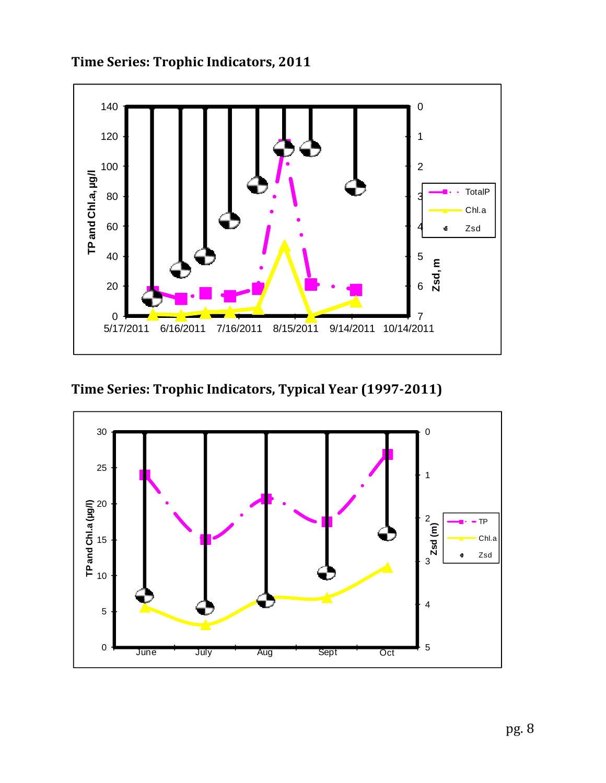

**Time Series: Trophic Indicators, 2011** 

**Time Series: Trophic Indicators, Typical Year (19972011)**

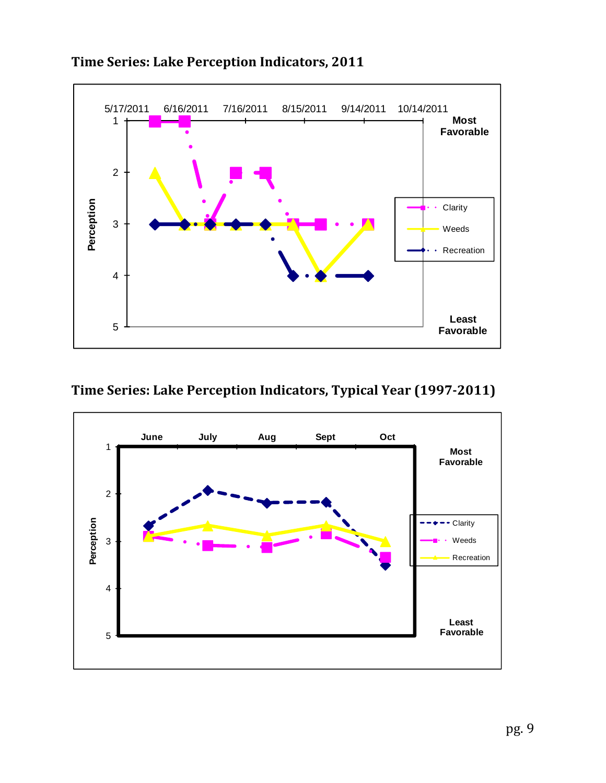

## **Time Series: Lake Perception Indicators, 2011**

## **Time Series: Lake Perception Indicators, Typical Year (19972011)**

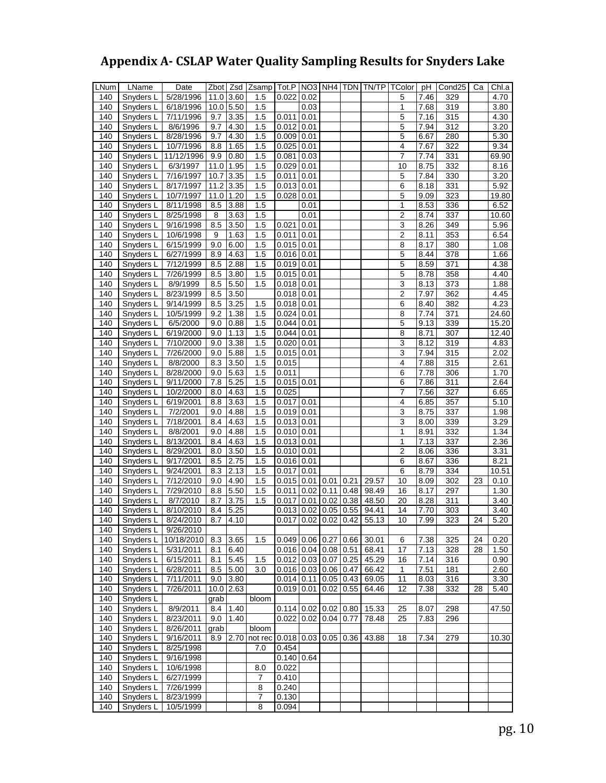# **Appendix A CSLAP Water Quality Sampling Results for Snyders Lake**

| LNum | LName     | Date       |      | Zbot Zsd          | Zsamp   Tot.P   NO3   NH4   TDN   TN/TP |                         |      |      |      |       | TColor pH      |      | Cond <sub>25</sub> | Ca | Chl.a |
|------|-----------|------------|------|-------------------|-----------------------------------------|-------------------------|------|------|------|-------|----------------|------|--------------------|----|-------|
| 140  | Snyders L | 5/28/1996  | 11.0 | 3.60              | 1.5                                     | 0.022                   | 0.02 |      |      |       | 5              | 7.46 | 329                |    | 4.70  |
| 140  | Snyders L | 6/18/1996  |      | $10.0$ 5.50       | 1.5                                     |                         | 0.03 |      |      |       | $\mathbf{1}$   | 7.68 | 319                |    | 3.80  |
| 140  | Snyders L | 7/11/1996  | 9.7  | 3.35              | 1.5                                     | 0.011                   | 0.01 |      |      |       | 5              | 7.16 | 315                |    | 4.30  |
| 140  | Snyders L | 8/6/1996   | 9.7  | 4.30              | 1.5                                     | 0.012                   | 0.01 |      |      |       | 5              | 7.94 | 312                |    | 3.20  |
| 140  | Snyders L | 8/28/1996  | 9.7  | 4.30              | 1.5                                     | $0.009$ 0.01            |      |      |      |       | 5              | 6.67 | 280                |    | 5.30  |
| 140  | Snyders L | 10/7/1996  | 8.8  | 1.65              | 1.5                                     | $0.025$ 0.01            |      |      |      |       | 4              | 7.67 | 322                |    | 9.34  |
| 140  | Snyders L | 11/12/1996 | 9.9  | 0.80              | 1.5                                     | 0.081                   | 0.03 |      |      |       | 7              | 7.74 | 331                |    | 69.90 |
| 140  | Snyders L | 6/3/1997   | 11.0 | 1.95              | 1.5                                     | 0.029                   | 0.01 |      |      |       | 10             | 8.75 | 332                |    | 8.16  |
| 140  | Snyders L | 7/16/1997  | 10.7 | 3.35              | 1.5                                     | $0.011$ 0.01            |      |      |      |       | 5              | 7.84 | 330                |    | 3.20  |
| 140  | Snyders L | 8/17/1997  | 11.2 | 3.35              | 1.5                                     | $0.013$ $0.01$          |      |      |      |       | 6              | 8.18 | 331                |    | 5.92  |
| 140  | Snyders L | 10/7/1997  | 11.0 | 1.20              | 1.5                                     | $0.028$ 0.01            |      |      |      |       | 5              | 9.09 | 323                |    | 19.80 |
| 140  | Snyders L | 8/11/1998  | 8.5  | 3.88              | 1.5                                     |                         | 0.01 |      |      |       | 1              | 8.53 | 336                |    | 6.52  |
| 140  | Snyders L | 8/25/1998  | 8    | 3.63              | 1.5                                     |                         | 0.01 |      |      |       | 2              | 8.74 | 337                |    | 10.60 |
| 140  | Snyders L | 9/16/1998  | 8.5  | 3.50              | 1.5                                     | 0.021                   | 0.01 |      |      |       | 3              | 8.26 | 349                |    | 5.96  |
| 140  | Snyders L | 10/6/1998  | 9    | 1.63              | 1.5                                     | $0.011$ 0.01            |      |      |      |       | $\overline{2}$ | 8.11 | 353                |    | 6.54  |
| 140  | Snyders L | 6/15/1999  | 9.0  | 6.00              | 1.5                                     | $0.015$ 0.01            |      |      |      |       | 8              | 8.17 | 380                |    | 1.08  |
| 140  | Snyders L | 6/27/1999  | 8.9  | 4.63              | 1.5                                     | $0.016$ 0.01            |      |      |      |       | 5              | 8.44 | 378                |    | 1.66  |
| 140  | Snyders L | 7/12/1999  | 8.5  | 2.88              | 1.5                                     | $0.019$ 0.01            |      |      |      |       | $\overline{5}$ | 8.59 | 371                |    | 4.38  |
| 140  | Snyders L | 7/26/1999  | 8.5  | 3.80              | 1.5                                     | $0.015$ 0.01            |      |      |      |       | 5              | 8.78 | 358                |    | 4.40  |
| 140  | Snyders L | 8/9/1999   | 8.5  | 5.50              | 1.5                                     | $0.018$ 0.01            |      |      |      |       | 3              | 8.13 | 373                |    | 1.88  |
| 140  | Snyders L | 8/23/1999  | 8.5  | 3.50              |                                         | $0.018$ 0.01            |      |      |      |       | $\overline{2}$ | 7.97 | 362                |    | 4.45  |
| 140  | Snyders L | 9/14/1999  | 8.5  | 3.25              | 1.5                                     | $0.018$ 0.01            |      |      |      |       | 6              | 8.40 | 382                |    | 4.23  |
| 140  | Snyders L | 10/5/1999  | 9.2  | 1.38              | 1.5                                     | 0.024                   | 0.01 |      |      |       | 8              | 7.74 | 371                |    | 24.60 |
| 140  | Snyders L | 6/5/2000   | 9.0  | 0.88              | 1.5                                     | $\overline{0.044}$ 0.01 |      |      |      |       | 5              | 9.13 | 339                |    | 15.20 |
| 140  | Snyders L | 6/19/2000  | 9.0  | 1.13              | 1.5                                     | $0.044$ 0.01            |      |      |      |       | 8              | 8.71 | 307                |    | 12.40 |
| 140  | Snyders L | 7/10/2000  | 9.0  | 3.38              | 1.5                                     | $0.020$ 0.01            |      |      |      |       | $\overline{3}$ | 8.12 | 319                |    | 4.83  |
| 140  | Snyders L | 7/26/2000  | 9.0  | 5.88              | 1.5                                     | $0.015$ 0.01            |      |      |      |       | 3              | 7.94 | 315                |    | 2.02  |
| 140  | Snyders L | 8/8/2000   | 8.3  | 3.50              | 1.5                                     | 0.015                   |      |      |      |       | 4              | 7.88 | 315                |    | 2.61  |
| 140  | Snyders L | 8/28/2000  | 9.0  | 5.63              | 1.5                                     | 0.011                   |      |      |      |       | 6              | 7.78 | 306                |    | 1.70  |
| 140  | Snyders L | 9/11/2000  | 7.8  | 5.25              | 1.5                                     | $0.015$ 0.01            |      |      |      |       | 6              | 7.86 | $\overline{311}$   |    | 2.64  |
| 140  | Snyders L | 10/2/2000  | 8.0  | 4.63              | 1.5                                     | 0.025                   |      |      |      |       | 7              | 7.56 | 327                |    | 6.65  |
| 140  | Snyders L | 6/19/2001  | 8.8  | 3.63              | 1.5                                     | $0.017$ 0.01            |      |      |      |       | 4              | 6.85 | 357                |    | 5.10  |
| 140  | Snyders L | 7/2/2001   | 9.0  | 4.88              | 1.5                                     | $0.019$ 0.01            |      |      |      |       | 3              | 8.75 | 337                |    | 1.98  |
| 140  | Snyders L | 7/18/2001  | 8.4  | 4.63              | $\overline{1.5}$                        | $0.013$ 0.01            |      |      |      |       | $\overline{3}$ | 8.00 | 339                |    | 3.29  |
| 140  | Snyders L | 8/8/2001   | 9.0  | 4.88              | 1.5                                     | $\overline{0.010}$ 0.01 |      |      |      |       | 1              | 8.91 | 332                |    | 1.34  |
| 140  | Snyders L | 8/13/2001  | 8.4  | 4.63              | 1.5                                     | $0.013$ 0.01            |      |      |      |       | 1              | 7.13 | 337                |    | 2.36  |
| 140  | Snyders L | 8/29/2001  | 8.0  | $3.\overline{50}$ | 1.5                                     | $0.010$ 0.01            |      |      |      |       | 2              | 8.06 | 336                |    | 3.31  |
| 140  | Snyders L | 9/17/2001  | 8.5  | 2.75              | 1.5                                     | $0.016$ 0.01            |      |      |      |       | 6              | 8.67 | 336                |    | 8.21  |
| 140  | Snyders L | 9/24/2001  | 8.3  | 2.13              | 1.5                                     | 0.017                   | 0.01 |      |      |       | 6              | 8.79 | 334                |    | 10.51 |
| 140  | Snyders L | 7/12/2010  | 9.0  | 4.90              | 1.5                                     | $0.015$ 0.01            |      | 0.01 | 0.21 | 29.57 | 10             | 8.09 | 302                | 23 | 0.10  |
| 140  | Snyders L | 7/29/2010  | 8.8  | 5.50              | 1.5                                     | 0.011                   | 0.02 | 0.11 | 0.48 | 98.49 | 16             | 8.17 | 297                |    | 1.30  |
| 140  | Snyders L | 8/7/2010   | 8.7  | 3.75              | $\overline{1.5}$                        | 0.017                   | 0.01 | 0.02 | 0.38 | 48.50 | 20             | 8.28 | 311                |    | 3.40  |
| 140  | Snyders L | 8/10/2010  | 8.4  | 5.25              |                                         | $0.013$ 0.02            |      | 0.05 | 0.55 | 94.41 | 14             | 7.70 | 303                |    | 3.40  |
| 140  | Snyders L | 8/24/2010  | 8.7  | 4.10              |                                         | $0.017$ 0.02 0.02       |      |      | 0.42 | 55.13 | 10             | 7.99 | 323                | 24 | 5.20  |
| 140  | Snyders L | 9/26/2010  |      |                   |                                         |                         |      |      |      |       |                |      |                    |    |       |
| 140  | Snyders L | 10/18/2010 | 8.3  | 3.65              | 1.5                                     | $0.049$ 0.06 0.27       |      |      | 0.66 | 30.01 | 6              | 7.38 | 325                | 24 | 0.20  |
| 140  | Snyders L | 5/31/2011  | 8.1  | 6.40              |                                         | $0.016$ 0.04 0.08       |      |      | 0.51 | 68.41 | 17             | 7.13 | 328                | 28 | 1.50  |
| 140  | Snyders L | 6/15/2011  | 8.1  | 5.45              | 1.5                                     | $0.012$ 0.03 0.07       |      |      | 0.25 | 45.29 | 16             | 7.14 | 316                |    | 0.90  |
| 140  | Snyders L | 6/28/2011  | 8.5  | 5.00              | 3.0                                     | $0.016$ 0.03 0.06       |      |      | 0.47 | 66.42 | 1              | 7.51 | 181                |    | 2.60  |
| 140  | Snyders L | 7/11/2011  | 9.0  | 3.80              |                                         | $0.014$ 0.11 0.05 0.43  |      |      |      | 69.05 | 11             | 8.03 | 316                |    | 3.30  |
| 140  | Snyders L | 7/26/2011  |      | $10.0$ 2.63       |                                         | $0.019$ 0.01            |      | 0.02 | 0.55 | 64.46 | 12             | 7.38 | 332                | 28 | 5.40  |
| 140  | Snyders L |            | grab |                   | bloom                                   |                         |      |      |      |       |                |      |                    |    |       |
| 140  | Snyders L | 8/9/2011   | 8.4  | 1.40              |                                         | $0.114$ 0.02 0.02       |      |      | 0.80 | 15.33 | 25             | 8.07 | 298                |    | 47.50 |
| 140  | Snyders L | 8/23/2011  | 9.0  | 1.40              |                                         | $0.022$ 0.02 0.04       |      |      | 0.77 | 78.48 | 25             | 7.83 | 296                |    |       |
| 140  | Snyders L | 8/26/2011  | grab |                   | bloom                                   |                         |      |      |      |       |                |      |                    |    |       |
| 140  | Snyders L | 9/16/2011  | 8.9  | 2.70              | not rec 0.018 0.03 0.05                 |                         |      |      | 0.36 | 43.88 | 18             | 7.34 | 279                |    | 10.30 |
| 140  | Snyders L | 8/25/1998  |      |                   | 7.0                                     | 0.454                   |      |      |      |       |                |      |                    |    |       |
| 140  | Snyders L | 9/16/1998  |      |                   |                                         | $0.140$ 0.64            |      |      |      |       |                |      |                    |    |       |
| 140  | Snyders L | 10/6/1998  |      |                   | 8.0                                     | 0.022                   |      |      |      |       |                |      |                    |    |       |
| 140  | Snyders L | 6/27/1999  |      |                   | 7                                       | 0.410                   |      |      |      |       |                |      |                    |    |       |
| 140  | Snyders L | 7/26/1999  |      |                   | 8                                       | 0.240                   |      |      |      |       |                |      |                    |    |       |
| 140  | Snyders L | 8/23/1999  |      |                   | 7                                       | 0.130                   |      |      |      |       |                |      |                    |    |       |
| 140  | Snyders L | 10/5/1999  |      |                   | 8                                       | 0.094                   |      |      |      |       |                |      |                    |    |       |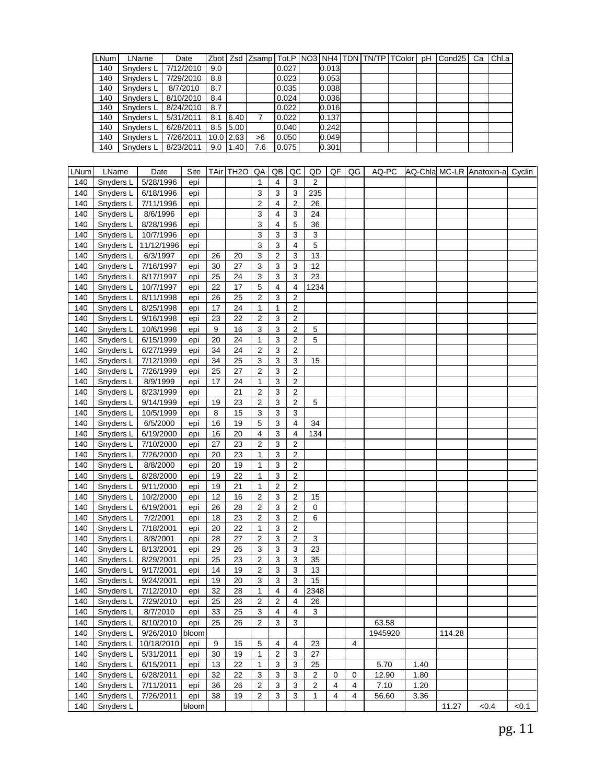| LNum | LName     | Date      |     |             |     |       |       |  | Zbot   Zsd   Zsamp   Tot.P   NO3   NH4   TDN   TN/TP   TColor   pH | Cond <sub>25</sub> | Ca | Chl.a |
|------|-----------|-----------|-----|-------------|-----|-------|-------|--|--------------------------------------------------------------------|--------------------|----|-------|
| 140  | Snyders L | 7/12/2010 | 9.0 |             |     | 0.027 | 0.013 |  |                                                                    |                    |    |       |
| 140  | Snyders L | 7/29/2010 | 8.8 |             |     | 0.023 | 0.053 |  |                                                                    |                    |    |       |
| 140  | Snyders L | 8/7/2010  | 8.7 |             |     | 0.035 | 0.038 |  |                                                                    |                    |    |       |
| 140  | Snyders L | 8/10/2010 | 8.4 |             |     | 0.024 | 0.036 |  |                                                                    |                    |    |       |
| 140  | Snyders L | 8/24/2010 | 8.7 |             |     | 0.022 | 0.016 |  |                                                                    |                    |    |       |
| 140  | Snyders L | 5/31/2011 | 8.1 | 6.40        | 7   | 0.022 | 0.137 |  |                                                                    |                    |    |       |
| 140  | Snyders L | 6/28/2011 |     | 8.5 5.00    |     | 0.040 | 0.242 |  |                                                                    |                    |    |       |
| 140  | Snyders L | 7/26/2011 |     | $10.0$ 2.63 | >6  | 0.050 | 0.049 |  |                                                                    |                    |    |       |
| 140  | Snyders L | 8/23/2011 |     | $9.0$ 1.40  | 7.6 | 0.075 | 0.301 |  |                                                                    |                    |    |       |

| LNum | LName     | Date       | Site  |    | TAir TH <sub>20</sub> | QA                      | QB             | QC                      | QD                      | QF | QG             | AQ-PC   |      |        | AQ-Chla MC-LR Anatoxin-a Cyclin |       |
|------|-----------|------------|-------|----|-----------------------|-------------------------|----------------|-------------------------|-------------------------|----|----------------|---------|------|--------|---------------------------------|-------|
| 140  | Snyders L | 5/28/1996  | epi   |    |                       | 1                       | 4              | 3                       | 2                       |    |                |         |      |        |                                 |       |
| 140  | Snyders L | 6/18/1996  | epi   |    |                       | 3                       | 3              | 3                       | 235                     |    |                |         |      |        |                                 |       |
| 140  | Snyders L | 7/11/1996  | epi   |    |                       | 2                       | 4              | 2                       | 26                      |    |                |         |      |        |                                 |       |
| 140  | Snyders L | 8/6/1996   | epi   |    |                       | 3                       | 4              | 3                       | 24                      |    |                |         |      |        |                                 |       |
| 140  | Snyders L | 8/28/1996  | epi   |    |                       | 3                       | 4              | 5                       | 36                      |    |                |         |      |        |                                 |       |
| 140  | Snyders L | 10/7/1996  | epi   |    |                       | 3                       | 3              | $\sqrt{3}$              | 3                       |    |                |         |      |        |                                 |       |
| 140  | Snyders L | 11/12/1996 | epi   |    |                       | 3                       | 3              | $\overline{4}$          | 5                       |    |                |         |      |        |                                 |       |
| 140  | Snyders L | 6/3/1997   | epi   | 26 | 20                    | 3                       | 2              | 3                       | 13                      |    |                |         |      |        |                                 |       |
| 140  | Snyders L | 7/16/1997  | epi   | 30 | 27                    | 3                       | 3              | 3                       | 12                      |    |                |         |      |        |                                 |       |
| 140  | Snyders L | 8/17/1997  | epi   | 25 | 24                    | 3                       | 3              | 3                       | 23                      |    |                |         |      |        |                                 |       |
| 140  | Snyders L | 10/7/1997  | epi   | 22 | 17                    | 5                       | 4              | $\overline{4}$          | 1234                    |    |                |         |      |        |                                 |       |
| 140  | Snyders L | 8/11/1998  | epi   | 26 | 25                    | 2                       | 3              | $\overline{2}$          |                         |    |                |         |      |        |                                 |       |
| 140  | Snyders L | 8/25/1998  | epi   | 17 | 24                    | 1                       | 1              | 2                       |                         |    |                |         |      |        |                                 |       |
| 140  | Snyders L | 9/16/1998  | epi   | 23 | 22                    | $\overline{c}$          | 3              | $\overline{2}$          |                         |    |                |         |      |        |                                 |       |
| 140  | Snyders L | 10/6/1998  | epi   | 9  | 16                    | $\mathbf{3}$            | 3              | $\overline{2}$          | 5                       |    |                |         |      |        |                                 |       |
| 140  | Snyders L | 6/15/1999  | epi   | 20 | 24                    | $\mathbf 1$             | 3              | 2                       | 5                       |    |                |         |      |        |                                 |       |
| 140  | Snyders L | 6/27/1999  | epi   | 34 | 24                    | $\overline{c}$          | 3              | $\overline{2}$          |                         |    |                |         |      |        |                                 |       |
| 140  | Snyders L | 7/12/1999  | epi   | 34 | 25                    | 3                       | 3              | $\mathsf 3$             | 15                      |    |                |         |      |        |                                 |       |
| 140  | Snyders L | 7/26/1999  | epi   | 25 | 27                    | $\mathbf 2$             | 3              | $\sqrt{2}$              |                         |    |                |         |      |        |                                 |       |
| 140  | Snyders L | 8/9/1999   | epi   | 17 | 24                    | 1                       | 3              | $\overline{2}$          |                         |    |                |         |      |        |                                 |       |
| 140  | Snyders L | 8/23/1999  | epi   |    | 21                    | $\overline{\mathbf{c}}$ | 3              | $\sqrt{2}$              |                         |    |                |         |      |        |                                 |       |
| 140  | Snyders L | 9/14/1999  | epi   | 19 | 23                    | $\overline{2}$          | 3              | $\overline{2}$          | 5                       |    |                |         |      |        |                                 |       |
| 140  | Snyders L | 10/5/1999  | epi   | 8  | 15                    | $\sqrt{3}$              | 3              | 3                       |                         |    |                |         |      |        |                                 |       |
| 140  | Snyders L | 6/5/2000   | epi   | 16 | 19                    | 5                       | 3              | $\overline{4}$          | 34                      |    |                |         |      |        |                                 |       |
| 140  | Snyders L | 6/19/2000  | epi   | 16 | 20                    | 4                       | 3              | 4                       | 134                     |    |                |         |      |        |                                 |       |
| 140  | Snyders L | 7/10/2000  | epi   | 27 | 23                    | $\overline{2}$          | 3              | $\overline{2}$          |                         |    |                |         |      |        |                                 |       |
| 140  | Snyders L | 7/26/2000  | epi   | 20 | 23                    | 1                       | 3              | $\sqrt{2}$              |                         |    |                |         |      |        |                                 |       |
| 140  | Snyders L | 8/8/2000   | epi   | 20 | 19                    | 1                       | 3              | $\overline{2}$          |                         |    |                |         |      |        |                                 |       |
| 140  | Snyders L | 8/28/2000  | epi   | 19 | 22                    | 1                       | 3              | $\sqrt{2}$              |                         |    |                |         |      |        |                                 |       |
| 140  | Snyders L | 9/11/2000  | epi   | 19 | 21                    | 1                       | 2              | $\sqrt{2}$              |                         |    |                |         |      |        |                                 |       |
| 140  | Snyders L | 10/2/2000  | epi   | 12 | 16                    | $\boldsymbol{2}$        | 3              | $\overline{c}$          | 15                      |    |                |         |      |        |                                 |       |
| 140  | Snyders L | 6/19/2001  | epi   | 26 | 28                    | $\sqrt{2}$              | 3              | $\sqrt{2}$              | $\mathbf 0$             |    |                |         |      |        |                                 |       |
| 140  | Snyders L | 7/2/2001   | epi   | 18 | 23                    | $\boldsymbol{2}$        | 3              | $\sqrt{2}$              | 6                       |    |                |         |      |        |                                 |       |
| 140  | Snyders L | 7/18/2001  | epi   | 20 | 22                    | 1                       | 3              | $\sqrt{2}$              |                         |    |                |         |      |        |                                 |       |
| 140  | Snyders L | 8/8/2001   | epi   | 28 | 27                    | $\overline{2}$          | 3              | $\overline{2}$          | 3                       |    |                |         |      |        |                                 |       |
| 140  | Snyders L | 8/13/2001  | epi   | 29 | 26                    | 3                       | 3              | 3                       | 23                      |    |                |         |      |        |                                 |       |
| 140  | Snyders L | 8/29/2001  | epi   | 25 | 23                    | $\overline{2}$          | 3              | 3                       | 35                      |    |                |         |      |        |                                 |       |
| 140  | Snyders L | 9/17/2001  | epi   | 14 | 19                    | $\overline{2}$          | 3              | $\sqrt{3}$              | 13                      |    |                |         |      |        |                                 |       |
| 140  | Snyders L | 9/24/2001  | epi   | 19 | 20                    | $\mathbf{3}$            | 3              | 3                       | 15                      |    |                |         |      |        |                                 |       |
| 140  | Snyders L | 7/12/2010  | epi   | 32 | 28                    | 1                       | 4              | 4                       | 2348                    |    |                |         |      |        |                                 |       |
| 140  | Snyders L | 7/29/2010  | epi   | 25 | 26                    | $\overline{2}$          | $\overline{2}$ | $\overline{\mathbf{4}}$ | 26                      |    |                |         |      |        |                                 |       |
| 140  | Snyders L | 8/7/2010   | epi   | 33 | 25                    | 3                       | 4              | 4                       | 3                       |    |                |         |      |        |                                 |       |
| 140  | Snyders L | 8/10/2010  | epi   | 25 | 26                    | $\overline{2}$          | 3              | 3                       |                         |    |                | 63.58   |      |        |                                 |       |
| 140  | Snyders L | 9/26/2010  | bloom |    |                       |                         |                |                         |                         |    |                | 1945920 |      | 114.28 |                                 |       |
| 140  | Snyders L | 10/18/2010 | epi   | 9  | 15                    | 5                       | 4              | $\overline{4}$          | 23                      |    | 4              |         |      |        |                                 |       |
| 140  | Snyders L | 5/31/2011  | epi   | 30 | 19                    | 1                       | 2              | 3                       | 27                      |    |                |         |      |        |                                 |       |
| 140  | Snyders L | 6/15/2011  | epi   | 13 | 22                    | 1                       | 3              | 3                       | 25                      |    |                | 5.70    | 1.40 |        |                                 |       |
| 140  | Snyders L | 6/28/2011  | epi   | 32 | 22                    | 3                       | 3              | 3                       | 2                       | 0  | 0              | 12.90   | 1.80 |        |                                 |       |
| 140  | Snyders L | 7/11/2011  | epi   | 36 | 26                    | $\overline{\mathbf{c}}$ | 3              | 3                       | $\overline{\mathbf{c}}$ | 4  | $\overline{4}$ | 7.10    | 1.20 |        |                                 |       |
| 140  | Snyders L | 7/26/2011  | epi   | 38 | 19                    | $\overline{2}$          | 3              | 3                       | 1                       | 4  | 4              | 56.60   | 3.36 |        |                                 |       |
| 140  | Snyders L |            | bloom |    |                       |                         |                |                         |                         |    |                |         |      | 11.27  | < 0.4                           | < 0.1 |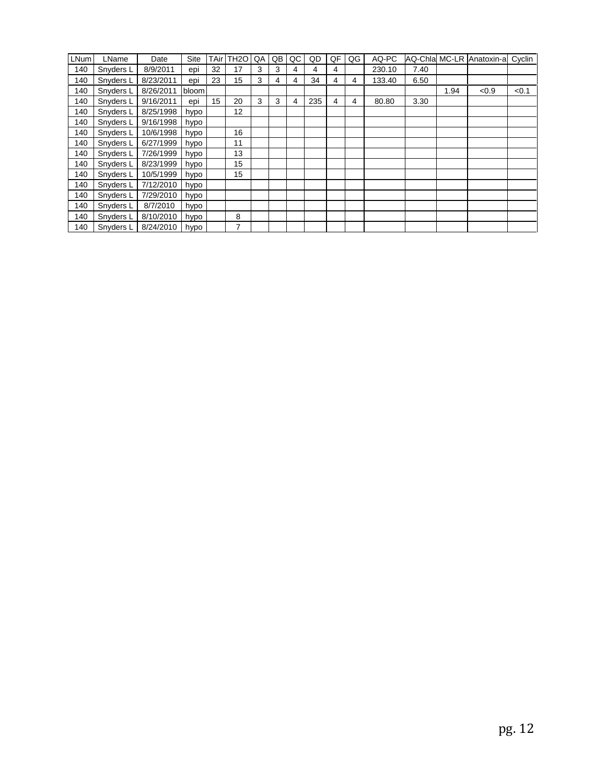| LNum | LName     | Date      | Site  | TAir | TH <sub>2</sub> O | QA | QB | QC | QD  | QF | QG | AQ-PC  |      |      | AQ-Chla MC-LR Anatoxin-a | Cyclin |
|------|-----------|-----------|-------|------|-------------------|----|----|----|-----|----|----|--------|------|------|--------------------------|--------|
| 140  | Snyders L | 8/9/2011  | epi   | 32   | 17                | 3  | 3  | 4  | 4   | 4  |    | 230.10 | 7.40 |      |                          |        |
| 140  | Snyders L | 8/23/2011 | epi   | 23   | 15                | 3  | 4  | 4  | 34  | 4  | 4  | 133.40 | 6.50 |      |                          |        |
| 140  | Snyders L | 8/26/2011 | bloom |      |                   |    |    |    |     |    |    |        |      | 1.94 | < 0.9                    | < 0.1  |
| 140  | Snyders L | 9/16/2011 | epi   | 15   | 20                | 3  | 3  | 4  | 235 | 4  | 4  | 80.80  | 3.30 |      |                          |        |
| 140  | Snyders L | 8/25/1998 | hypo  |      | 12                |    |    |    |     |    |    |        |      |      |                          |        |
| 140  | Snyders L | 9/16/1998 | hypo  |      |                   |    |    |    |     |    |    |        |      |      |                          |        |
| 140  | Snyders L | 10/6/1998 | hypo  |      | 16                |    |    |    |     |    |    |        |      |      |                          |        |
| 140  | Snyders L | 6/27/1999 | hypo  |      | 11                |    |    |    |     |    |    |        |      |      |                          |        |
| 140  | Snyders L | 7/26/1999 | hypo  |      | 13                |    |    |    |     |    |    |        |      |      |                          |        |
| 140  | Snyders L | 8/23/1999 | hypo  |      | 15                |    |    |    |     |    |    |        |      |      |                          |        |
| 140  | Snyders L | 10/5/1999 | hypo  |      | 15                |    |    |    |     |    |    |        |      |      |                          |        |
| 140  | Snyders L | 7/12/2010 | hypo  |      |                   |    |    |    |     |    |    |        |      |      |                          |        |
| 140  | Snyders L | 7/29/2010 | hypo  |      |                   |    |    |    |     |    |    |        |      |      |                          |        |
| 140  | Snyders L | 8/7/2010  | hypo  |      |                   |    |    |    |     |    |    |        |      |      |                          |        |
| 140  | Snyders L | 8/10/2010 | hypo  |      | 8                 |    |    |    |     |    |    |        |      |      |                          |        |
| 140  | Snyders L | 8/24/2010 | hypo  |      | 7                 |    |    |    |     |    |    |        |      |      |                          |        |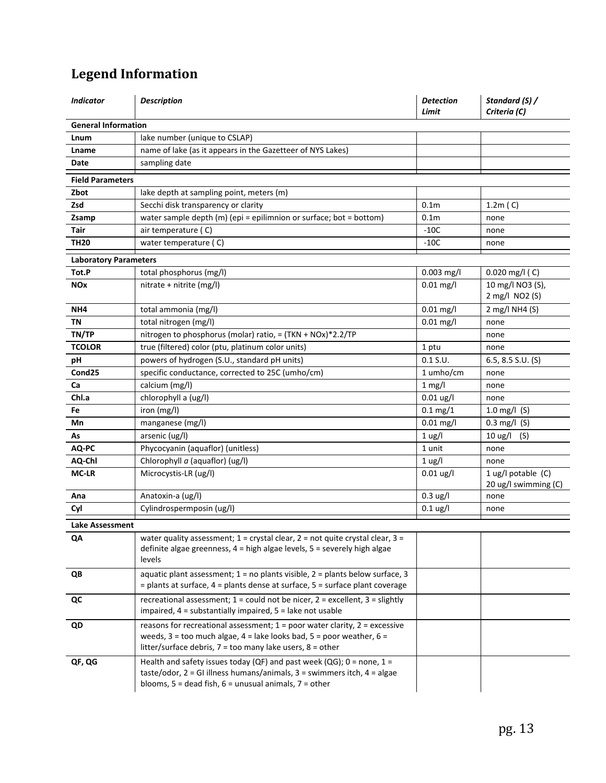# **Legend Information**

| <b>Indicator</b>             | <b>Description</b>                                                                                                                                                                                                                          | <b>Detection</b><br>Limit | Standard (S) /<br>Criteria (C)               |
|------------------------------|---------------------------------------------------------------------------------------------------------------------------------------------------------------------------------------------------------------------------------------------|---------------------------|----------------------------------------------|
| <b>General Information</b>   |                                                                                                                                                                                                                                             |                           |                                              |
| Lnum                         | lake number (unique to CSLAP)                                                                                                                                                                                                               |                           |                                              |
| Lname                        | name of lake (as it appears in the Gazetteer of NYS Lakes)                                                                                                                                                                                  |                           |                                              |
| Date                         | sampling date                                                                                                                                                                                                                               |                           |                                              |
| <b>Field Parameters</b>      |                                                                                                                                                                                                                                             |                           |                                              |
| Zbot                         | lake depth at sampling point, meters (m)                                                                                                                                                                                                    |                           |                                              |
| Zsd                          | Secchi disk transparency or clarity                                                                                                                                                                                                         | 0.1 <sub>m</sub>          | 1.2m(C)                                      |
| Zsamp                        | water sample depth (m) (epi = epilimnion or surface; bot = bottom)                                                                                                                                                                          | 0.1 <sub>m</sub>          | none                                         |
| <b>Tair</b>                  | air temperature (C)                                                                                                                                                                                                                         | $-10C$                    | none                                         |
| <b>TH20</b>                  | water temperature (C)                                                                                                                                                                                                                       | $-10C$                    | none                                         |
| <b>Laboratory Parameters</b> |                                                                                                                                                                                                                                             |                           |                                              |
| Tot.P                        | total phosphorus (mg/l)                                                                                                                                                                                                                     | $0.003$ mg/l              | $0.020$ mg/l (C)                             |
| <b>NOx</b>                   | nitrate + nitrite (mg/l)                                                                                                                                                                                                                    | $0.01$ mg/l               | 10 mg/l NO3 (S),                             |
|                              |                                                                                                                                                                                                                                             |                           | 2 mg/l NO2 (S)                               |
| NH <sub>4</sub>              | total ammonia (mg/l)                                                                                                                                                                                                                        | $0.01$ mg/l               | 2 mg/l NH4 (S)                               |
| <b>TN</b>                    | total nitrogen (mg/l)                                                                                                                                                                                                                       | $0.01$ mg/l               | none                                         |
| TN/TP                        | nitrogen to phosphorus (molar) ratio, = (TKN + NOx)*2.2/TP                                                                                                                                                                                  |                           | none                                         |
| <b>TCOLOR</b>                | true (filtered) color (ptu, platinum color units)                                                                                                                                                                                           | 1 ptu                     | none                                         |
| рH                           | powers of hydrogen (S.U., standard pH units)                                                                                                                                                                                                | $0.1$ S.U.                | 6.5, 8.5 S.U. $(S)$                          |
| Cond <sub>25</sub>           | specific conductance, corrected to 25C (umho/cm)                                                                                                                                                                                            | 1 umho/cm                 | none                                         |
| Ca                           | calcium (mg/l)                                                                                                                                                                                                                              | $1$ mg/l                  | none                                         |
| Chl.a                        | chlorophyll a (ug/l)                                                                                                                                                                                                                        | $0.01$ ug/l               | none                                         |
| Fe                           | iron (mg/l)                                                                                                                                                                                                                                 | $0.1 \,\mathrm{mg}/1$     | 1.0 mg/l $(S)$                               |
| Mn                           | manganese (mg/l)                                                                                                                                                                                                                            | $0.01$ mg/l               | $0.3$ mg/l (S)                               |
| As                           | arsenic (ug/l)                                                                                                                                                                                                                              | $1$ ug/l                  | $10 \text{ ug/l}$<br>(S)                     |
| AQ-PC                        | Phycocyanin (aquaflor) (unitless)                                                                                                                                                                                                           | 1 unit                    | none                                         |
| AQ-Chl                       | Chlorophyll a (aquaflor) (ug/l)                                                                                                                                                                                                             | 1 <sub>ug</sub> /I        | none                                         |
| <b>MC-LR</b>                 | Microcystis-LR (ug/l)                                                                                                                                                                                                                       | $0.01 \text{ ug/l}$       | 1 ug/l potable $(C)$<br>20 ug/l swimming (C) |
| Ana                          | Anatoxin-a (ug/l)                                                                                                                                                                                                                           | $0.3 \text{ ug/l}$        | none                                         |
| Cyl                          | Cylindrospermposin (ug/l)                                                                                                                                                                                                                   | $0.1$ ug/l                | none                                         |
| Lake Assessment              |                                                                                                                                                                                                                                             |                           |                                              |
| QA                           | water quality assessment; $1 =$ crystal clear, $2 =$ not quite crystal clear, $3 =$<br>definite algae greenness, 4 = high algae levels, 5 = severely high algae<br>levels                                                                   |                           |                                              |
| QB                           | aquatic plant assessment; $1 = no$ plants visible, $2 =$ plants below surface, 3<br>$=$ plants at surface, 4 = plants dense at surface, 5 = surface plant coverage                                                                          |                           |                                              |
| QC                           | recreational assessment; $1 =$ could not be nicer, $2 =$ excellent, $3 =$ slightly<br>impaired, 4 = substantially impaired, 5 = lake not usable                                                                                             |                           |                                              |
| QD                           | reasons for recreational assessment; $1 = poor$ water clarity, $2 = excessive$<br>weeds, $3 =$ too much algae, $4 =$ lake looks bad, $5 =$ poor weather, $6 =$<br>litter/surface debris, $7 = \text{too many lake users}, 8 = \text{other}$ |                           |                                              |
| QF, QG                       | Health and safety issues today (QF) and past week (QG); $0 =$ none, $1 =$<br>taste/odor, $2 = GI$ illness humans/animals, $3 =$ swimmers itch, $4 =$ algae<br>blooms, $5 =$ dead fish, $6 =$ unusual animals, $7 =$ other                   |                           |                                              |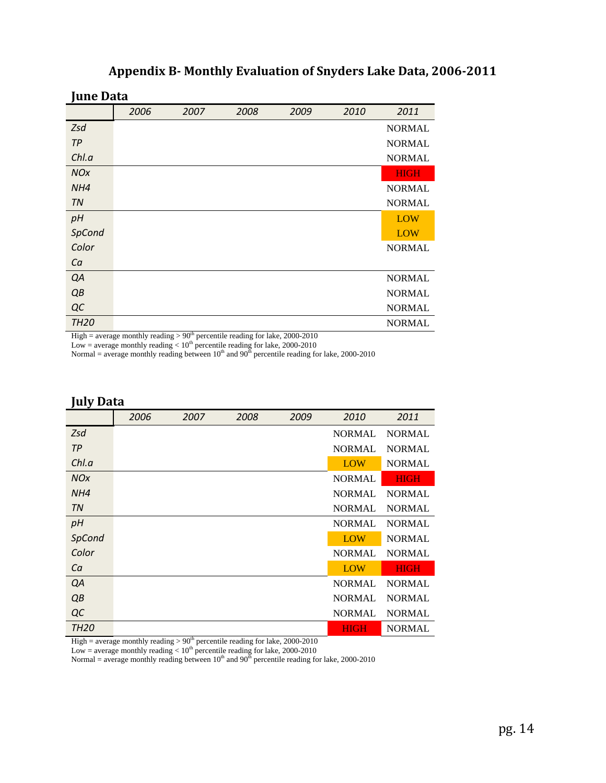#### **Appendix B Monthly Evaluation of Snyders Lake Data, 20062011**

**June Data**

|             | 2006 | 2007 | 2008 | 2009 | 2010 | 2011          |
|-------------|------|------|------|------|------|---------------|
| Zsd         |      |      |      |      |      | <b>NORMAL</b> |
| TP          |      |      |      |      |      | <b>NORMAL</b> |
| Chl.a       |      |      |      |      |      | <b>NORMAL</b> |
| <b>NOx</b>  |      |      |      |      |      | <b>HIGH</b>   |
| NH4         |      |      |      |      |      | <b>NORMAL</b> |
| <b>TN</b>   |      |      |      |      |      | <b>NORMAL</b> |
| pH          |      |      |      |      |      | LOW           |
| SpCond      |      |      |      |      |      | LOW           |
| Color       |      |      |      |      |      | <b>NORMAL</b> |
| Ca          |      |      |      |      |      |               |
| QA          |      |      |      |      |      | <b>NORMAL</b> |
| QB          |      |      |      |      |      | <b>NORMAL</b> |
| QC          |      |      |      |      |      | <b>NORMAL</b> |
| <b>TH20</b> |      |      |      |      |      | <b>NORMAL</b> |

High = average monthly reading  $> 90<sup>th</sup>$  percentile reading for lake, 2000-2010

Low = average monthly reading  $< 10^{th}$  percentile reading for lake, 2000-2010

Normal = average monthly reading between  $10<sup>th</sup>$  and  $90<sup>th</sup>$  percentile reading for lake, 2000-2010

#### **July Data**

|             | 2006 | 2007 | 2008 | 2009 | 2010          | 2011          |
|-------------|------|------|------|------|---------------|---------------|
| Zsd         |      |      |      |      | <b>NORMAL</b> | <b>NORMAL</b> |
| TP          |      |      |      |      | <b>NORMAL</b> | <b>NORMAL</b> |
| Chl.a       |      |      |      |      | LOW           | <b>NORMAL</b> |
| <b>NOx</b>  |      |      |      |      | <b>NORMAL</b> | <b>HIGH</b>   |
| NH4         |      |      |      |      | <b>NORMAL</b> | <b>NORMAL</b> |
| <b>TN</b>   |      |      |      |      | <b>NORMAL</b> | <b>NORMAL</b> |
| pH          |      |      |      |      | <b>NORMAL</b> | <b>NORMAL</b> |
| SpCond      |      |      |      |      | LOW           | <b>NORMAL</b> |
| Color       |      |      |      |      | <b>NORMAL</b> | <b>NORMAL</b> |
| Ca          |      |      |      |      | LOW           | <b>HIGH</b>   |
| QA          |      |      |      |      | <b>NORMAL</b> | <b>NORMAL</b> |
| QB          |      |      |      |      | <b>NORMAL</b> | <b>NORMAL</b> |
| QC          |      |      |      |      | <b>NORMAL</b> | <b>NORMAL</b> |
| <b>TH20</b> |      |      |      |      | <b>HIGH</b>   | <b>NORMAL</b> |

High = average monthly reading  $> 90<sup>th</sup>$  percentile reading for lake, 2000-2010

Low = average monthly reading  $< 10<sup>th</sup>$  percentile reading for lake, 2000-2010

Normal = average monthly reading between  $10^{th}$  and  $90^{th}$  percentile reading for lake, 2000-2010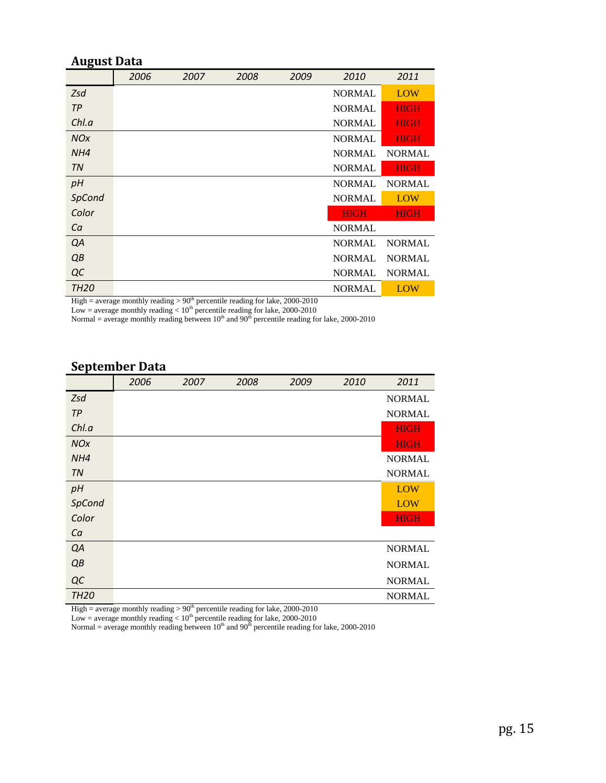#### **August Data**

|             | 2006 | 2007 | 2008 | 2009 | 2010          | 2011          |
|-------------|------|------|------|------|---------------|---------------|
| Zsd         |      |      |      |      | <b>NORMAL</b> | <b>LOW</b>    |
| TP          |      |      |      |      | <b>NORMAL</b> | <b>HIGH</b>   |
| Chl.a       |      |      |      |      | <b>NORMAL</b> | <b>HIGH</b>   |
| <b>NOx</b>  |      |      |      |      | <b>NORMAL</b> | <b>HIGH</b>   |
| NH4         |      |      |      |      | <b>NORMAL</b> | <b>NORMAL</b> |
| TN          |      |      |      |      | <b>NORMAL</b> | <b>HIGH</b>   |
| pH          |      |      |      |      | <b>NORMAL</b> | <b>NORMAL</b> |
| SpCond      |      |      |      |      | <b>NORMAL</b> | <b>LOW</b>    |
| Color       |      |      |      |      | <b>HIGH</b>   | <b>HIGH</b>   |
| Ca          |      |      |      |      | <b>NORMAL</b> |               |
| QA          |      |      |      |      | <b>NORMAL</b> | <b>NORMAL</b> |
| QB          |      |      |      |      | <b>NORMAL</b> | <b>NORMAL</b> |
| QC          |      |      |      |      | <b>NORMAL</b> | <b>NORMAL</b> |
| <b>TH20</b> |      |      |      |      | <b>NORMAL</b> | LOW           |

High = average monthly reading  $> 90<sup>th</sup>$  percentile reading for lake, 2000-2010

Low = average monthly reading  $< 10^{\text{th}}$  percentile reading for lake, 2000-2010

Normal = average monthly reading between  $10^{th}$  and  $90^{th}$  percentile reading for lake, 2000-2010

## **September Data**

|             | 2006 | 2007 | 2008 | 2009 | 2010 | 2011          |
|-------------|------|------|------|------|------|---------------|
| Zsd         |      |      |      |      |      | <b>NORMAL</b> |
| <b>TP</b>   |      |      |      |      |      | <b>NORMAL</b> |
| Chl.a       |      |      |      |      |      | <b>HIGH</b>   |
| <b>NOx</b>  |      |      |      |      |      | <b>HIGH</b>   |
| NH4         |      |      |      |      |      | <b>NORMAL</b> |
| <b>TN</b>   |      |      |      |      |      | <b>NORMAL</b> |
| pH          |      |      |      |      |      | LOW           |
| SpCond      |      |      |      |      |      | <b>LOW</b>    |
| Color       |      |      |      |      |      | <b>HIGH</b>   |
| Ca          |      |      |      |      |      |               |
| QA          |      |      |      |      |      | <b>NORMAL</b> |
| QB          |      |      |      |      |      | <b>NORMAL</b> |
| QC          |      |      |      |      |      | <b>NORMAL</b> |
| <b>TH20</b> |      |      |      |      |      | <b>NORMAL</b> |

High = average monthly reading  $> 90<sup>th</sup>$  percentile reading for lake, 2000-2010

Low = average monthly reading  $< 10<sup>th</sup>$  percentile reading for lake, 2000-2010

Normal = average monthly reading between  $10^{th}$  and  $90^{th}$  percentile reading for lake, 2000-2010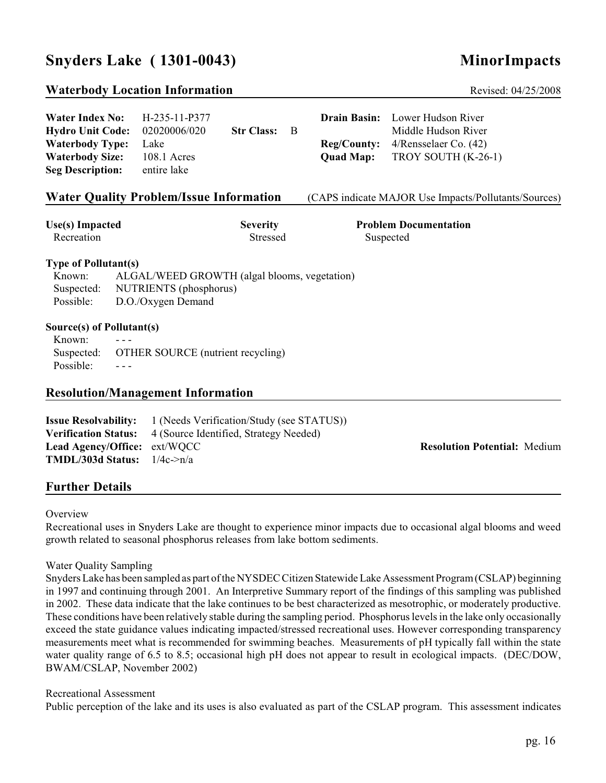## **Snyders Lake ( 1301-0043) MinorImpacts**

#### **Waterbody Location Information Revised: 04/25/2008** Revised: 04/25/2008

| Water Index No: $H-235-11-P377$      |             |              |  | <b>Drain Basin:</b> Lower Hudson River        |
|--------------------------------------|-------------|--------------|--|-----------------------------------------------|
| <b>Hydro Unit Code:</b> 02020006/020 |             | Str Class: B |  | Middle Hudson River                           |
| <b>Waterbody Type:</b> Lake          |             |              |  | <b>Reg/County:</b> $4/R$ ensselaer Co. $(42)$ |
| <b>Waterbody Size:</b>               | 108.1 Acres |              |  | <b>Quad Map:</b> TROY SOUTH (K-26-1)          |
| <b>Seg Description:</b>              | entire lake |              |  |                                               |

#### **Water Quality Problem/Issue Information** (CAPS indicate MAJOR Use Impacts/Pollutants/Sources)

Recreation Stressed Suspected Suspected Suspected Suspected Suspected Suspected Suspected Suspected Suspected Suspected Suspected Suspected Suspected Suspected Suspected Suspected Suspected Suspected Suspected Suspected Su

**Use(s) Impacted Severity Problem Documentation**

#### **Type of Pollutant(s)**

| Known:     | ALGAL/WEED GROWTH (algal blooms, vegetation) |
|------------|----------------------------------------------|
| Suspected: | NUTRIENTS (phosphorus)                       |
| Possible:  | D.O./Oxygen Demand                           |

#### **Source(s) of Pollutant(s)**

| Known:    | $  -$                                        |
|-----------|----------------------------------------------|
|           | Suspected: OTHER SOURCE (nutrient recycling) |
| Possible: | $- - -$                                      |

#### **Resolution/Management Information**

|                                                 | <b>Issue Resolvability:</b> 1 (Needs Verification/Study (see STATUS)) |                                     |  |
|-------------------------------------------------|-----------------------------------------------------------------------|-------------------------------------|--|
|                                                 | <b>Verification Status:</b> 4 (Source Identified, Strategy Needed)    |                                     |  |
| <b>Lead Agency/Office:</b> ext/WQCC             |                                                                       | <b>Resolution Potential: Medium</b> |  |
| <b>TMDL/303d Status:</b> $1/4c \rightarrow n/a$ |                                                                       |                                     |  |

#### **Further Details**

#### **Overview**

Recreational uses in Snyders Lake are thought to experience minor impacts due to occasional algal blooms and weed growth related to seasonal phosphorus releases from lake bottom sediments.

#### Water Quality Sampling

Snyders Lake has been sampled as part of the NYSDEC Citizen Statewide Lake Assessment Program (CSLAP) beginning in 1997 and continuing through 2001. An Interpretive Summary report of the findings of this sampling was published in 2002. These data indicate that the lake continues to be best characterized as mesotrophic, or moderately productive. These conditions have been relatively stable during the sampling period. Phosphorus levels in the lake only occasionally exceed the state guidance values indicating impacted/stressed recreational uses. However corresponding transparency measurements meet what is recommended for swimming beaches. Measurements of pH typically fall within the state water quality range of 6.5 to 8.5; occasional high pH does not appear to result in ecological impacts. (DEC/DOW, BWAM/CSLAP, November 2002)

#### Recreational Assessment

Public perception of the lake and its uses is also evaluated as part of the CSLAP program. This assessment indicates